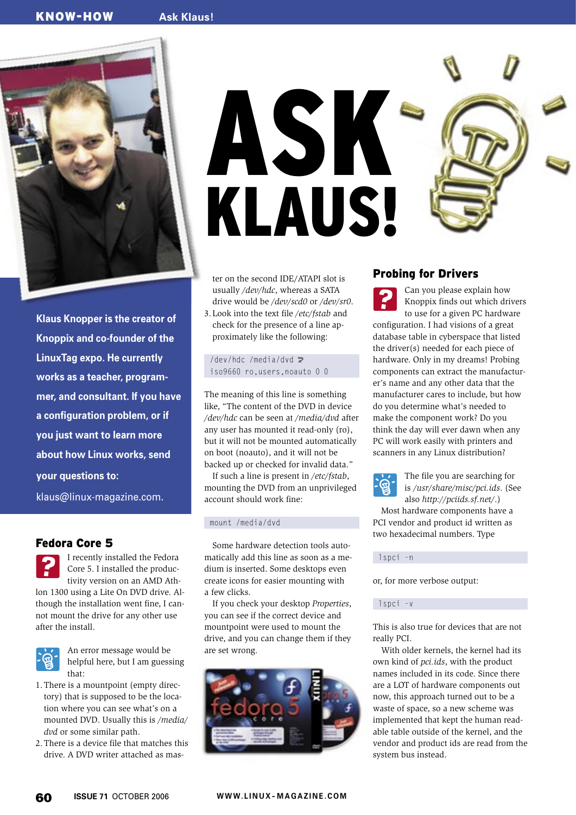# KNOW-HOW **Ask Klaus!**



**Klaus Knopper is the creator of Knoppix and co-founder of the LinuxTag expo. He currently works as a teacher, programmer, and consultant. If you have a configuration problem, or if you just want to learn more about how Linux works, send your questions to:**

klaus@linux-magazine. com.

# Fedora Core 5

I recently installed the Fedora Core 5. I installed the productivity version on an AMD Athlon 1300 using a Lite On DVD drive. Although the installation went fine, I cannot mount the drive for any other use after the install.



An error message would be helpful here, but I am guessing that:

- 1. There is a mountpoint (empty directory) that is supposed to be the location where you can see what's on a mounted DVD. Usually this is */media/ dvd* or some similar path.
- 2. There is a device file that matches this drive. A DVD writer attached as mas-

ASK KLAUS!

ter on the second IDE/ATAPI slot is usually */dev/hdc*, whereas a SATA drive would be */dev/scd0* or */dev/sr0*.

3. Look into the text file */etc/fstab* and check for the presence of a line approximately like the following:

/dev/hdc /media/dvd  $\geq$ iso9660 ro,users,noauto 0 0

The meaning of this line is something like, "The content of the DVD in device */dev/hdc* can be seen at */media/dvd* after any user has mounted it read-only (ro), but it will not be mounted automatically on boot (noauto), and it will not be backed up or checked for invalid data."

If such a line is present in */etc/fstab*, mounting the DVD from an unprivileged account should work fine:

### mount /media/dvd

Some hardware detection tools automatically add this line as soon as a medium is inserted. Some desktops even create icons for easier mounting with a few clicks.

If you check your desktop *Properties*, you can see if the correct device and mountpoint were used to mount the drive, and you can change them if they are set wrong.



## Probing for Drivers

Can you please explain how Knoppix finds out which drivers to use for a given PC hardware configuration. I had visions of a great database table in cyberspace that listed the driver(s) needed for each piece of hardware. Only in my dreams! Probing components can extract the manufacturer's name and any other data that the manufacturer cares to include, but how do you determine what's needed to make the component work? Do you think the day will ever dawn when any PC will work easily with printers and scanners in any Linux distribution?



The file you are searching for is */usr/share/misc/pci.ids*. (See also *http:// pciids. sf. net/*.)

Most hardware components have a PCI vendor and product id written as two hexadecimal numbers. Type

lspci -n

or, for more verbose output:

### lspci -v

This is also true for devices that are not really PCI.

With older kernels, the kernel had its own kind of *pci.ids*, with the product names included in its code. Since there are a LOT of hardware components out now, this approach turned out to be a waste of space, so a new scheme was implemented that kept the human readable table outside of the kernel, and the vendor and product ids are read from the system bus instead.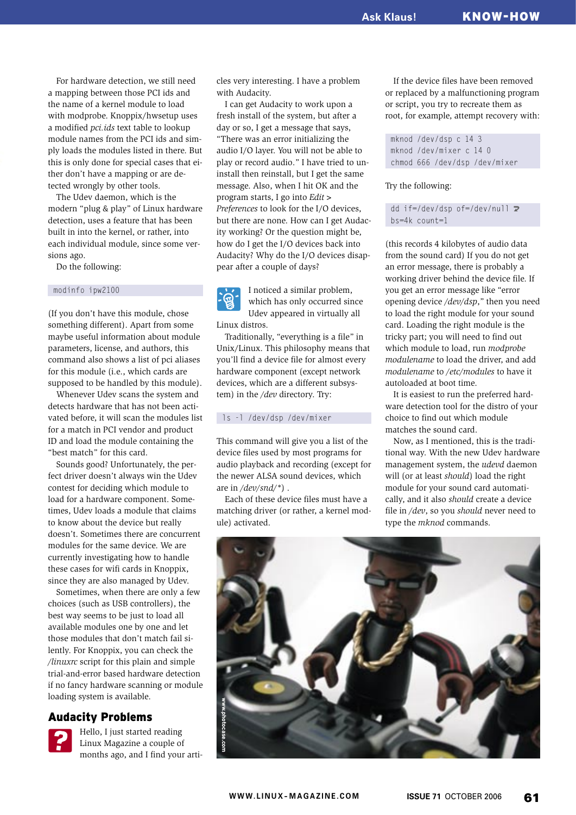For hardware detection, we still need a mapping between those PCI ids and the name of a kernel module to load with modprobe. Knoppix/hwsetup uses a modified *pci.ids* text table to lookup module names from the PCI ids and simply loads the modules listed in there. But this is only done for special cases that either don't have a mapping or are detected wrongly by other tools.

The Udev daemon, which is the modern "plug & play" of Linux hardware detection, uses a feature that has been built in into the kernel, or rather, into each individual module, since some versions ago.

Do the following:

### modinfo ipw2100

(If you don't have this module, chose something different). Apart from some maybe useful information about module parameters, license, and authors, this command also shows a list of pci aliases for this module (i.e., which cards are supposed to be handled by this module).

Whenever Udev scans the system and detects hardware that has not been activated before, it will scan the modules list for a match in PCI vendor and product ID and load the module containing the "best match" for this card.

Sounds good? Unfortunately, the perfect driver doesn't always win the Udev contest for deciding which module to load for a hardware component. Sometimes, Udev loads a module that claims to know about the device but really doesn't. Sometimes there are concurrent modules for the same device. We are currently investigating how to handle these cases for wifi cards in Knoppix, since they are also managed by Udev.

Sometimes, when there are only a few choices (such as USB controllers), the best way seems to be just to load all available modules one by one and let those modules that don't match fail silently. For Knoppix, you can check the */linuxrc* script for this plain and simple trial-and-error based hardware detection if no fancy hardware scanning or module loading system is available.

### Audacity Problems

Hello, I just started reading Linux Magazine a couple of months ago, and I find your articles very interesting. I have a problem with Audacity.

I can get Audacity to work upon a fresh install of the system, but after a day or so, I get a message that says, "There was an error initializing the audio I/O layer. You will not be able to play or record audio." I have tried to uninstall then reinstall, but I get the same message. Also, when I hit OK and the program starts, I go into *Edit> Preferences* to look for the I/O devices, but there are none. How can I get Audacity working? Or the question might be, how do I get the I/O devices back into Audacity? Why do the I/O devices disappear after a couple of days?

I noticed a similar problem, which has only occurred since Udev appeared in virtually all Linux distros.

Traditionally, "everything is a file" in Unix/ Linux. This philosophy means that you'll find a device file for almost every hardware component (except network devices, which are a different subsystem) in the */dev* directory. Try:

### ls -l /dev/dsp /dev/mixer

This command will give you a list of the device files used by most programs for audio playback and recording (except for the newer ALSA sound devices, which are in */dev/snd/\**) .

Each of these device files must have a matching driver (or rather, a kernel module) activated.

If the device files have been removed or replaced by a malfunctioning program or script, you try to recreate them as root, for example, attempt recovery with:

mknod /dev/dsp c 14 3 mknod /dev/mixer c 14 0 chmod 666 /dev/dsp /dev/mixer

### Try the following:

dd if=/dev/dsp of=/dev/null 2 bs=4k count=1

(this records 4 kilobytes of audio data from the sound card) If you do not get an error message, there is probably a working driver behind the device file. If you get an error message like "error opening device */dev/dsp*," then you need to load the right module for your sound card. Loading the right module is the tricky part; you will need to find out which module to load, run *modprobe modulename* to load the driver, and add *modulename* to */etc/modules* to have it autoloaded at boot time.

It is easiest to run the preferred hardware detection tool for the distro of your choice to find out which module matches the sound card.

Now, as I mentioned, this is the traditional way. With the new Udev hardware management system, the *udevd* daemon will (or at least *should*) load the right module for your sound card automatically, and it also *should* create a device file in */dev*, so you *should* never need to type the *mknod* commands.